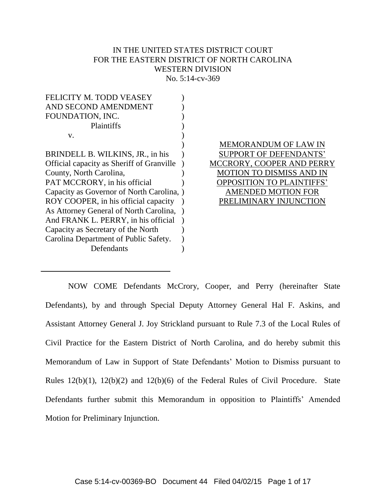## IN THE UNITED STATES DISTRICT COURT FOR THE EASTERN DISTRICT OF NORTH CAROLINA WESTERN DIVISION No. 5:14-cv-369

| <b>FELICITY M. TODD VEASEY</b>            |  |
|-------------------------------------------|--|
| AND SECOND AMENDMENT                      |  |
| FOUNDATION, INC.                          |  |
| Plaintiffs                                |  |
| v.                                        |  |
|                                           |  |
| BRINDELL B. WILKINS, JR., in his          |  |
| Official capacity as Sheriff of Granville |  |
| County, North Carolina,                   |  |
| PAT MCCRORY, in his official              |  |
| Capacity as Governor of North Carolina,   |  |
| ROY COOPER, in his official capacity      |  |
| As Attorney General of North Carolina,    |  |
| And FRANK L. PERRY, in his official       |  |
| Capacity as Secretary of the North        |  |
| Carolina Department of Public Safety.     |  |
| Defendants                                |  |

MEMORANDUM OF LAW IN SUPPORT OF DEFENDANTS' MCCRORY, COOPER AND PERRY MOTION TO DISMISS AND IN OPPOSITION TO PLAINTIFFS' AMENDED MOTION FOR PRELIMINARY INJUNCTION

NOW COME Defendants McCrory, Cooper, and Perry (hereinafter State Defendants), by and through Special Deputy Attorney General Hal F. Askins, and Assistant Attorney General J. Joy Strickland pursuant to Rule 7.3 of the Local Rules of Civil Practice for the Eastern District of North Carolina, and do hereby submit this Memorandum of Law in Support of State Defendants' Motion to Dismiss pursuant to Rules 12(b)(1), 12(b)(2) and 12(b)(6) of the Federal Rules of Civil Procedure. State Defendants further submit this Memorandum in opposition to Plaintiffs' Amended Motion for Preliminary Injunction.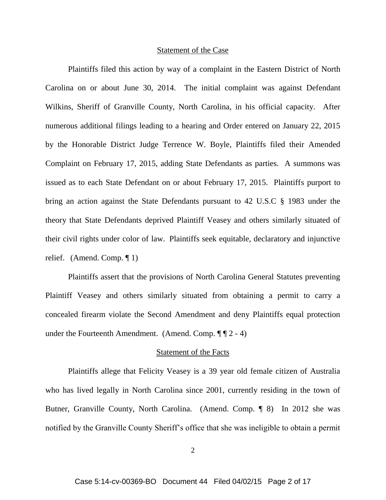#### Statement of the Case

Plaintiffs filed this action by way of a complaint in the Eastern District of North Carolina on or about June 30, 2014. The initial complaint was against Defendant Wilkins, Sheriff of Granville County, North Carolina, in his official capacity. After numerous additional filings leading to a hearing and Order entered on January 22, 2015 by the Honorable District Judge Terrence W. Boyle, Plaintiffs filed their Amended Complaint on February 17, 2015, adding State Defendants as parties. A summons was issued as to each State Defendant on or about February 17, 2015. Plaintiffs purport to bring an action against the State Defendants pursuant to 42 U.S.C § 1983 under the theory that State Defendants deprived Plaintiff Veasey and others similarly situated of their civil rights under color of law. Plaintiffs seek equitable, declaratory and injunctive relief. (Amend. Comp. ¶ 1)

Plaintiffs assert that the provisions of North Carolina General Statutes preventing Plaintiff Veasey and others similarly situated from obtaining a permit to carry a concealed firearm violate the Second Amendment and deny Plaintiffs equal protection under the Fourteenth Amendment. (Amend. Comp.  $\P$   $\P$  2 - 4)

## Statement of the Facts

Plaintiffs allege that Felicity Veasey is a 39 year old female citizen of Australia who has lived legally in North Carolina since 2001, currently residing in the town of Butner, Granville County, North Carolina. (Amend. Comp. ¶ 8) In 2012 she was notified by the Granville County Sheriff's office that she was ineligible to obtain a permit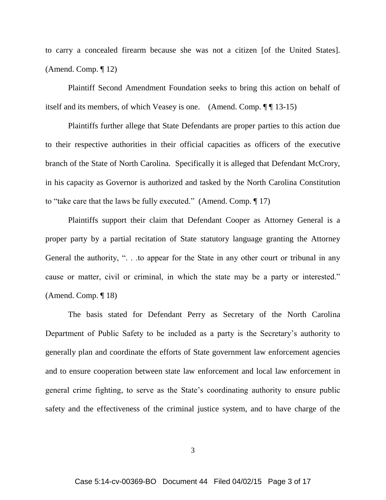to carry a concealed firearm because she was not a citizen [of the United States]. (Amend. Comp. ¶ 12)

Plaintiff Second Amendment Foundation seeks to bring this action on behalf of itself and its members, of which Veasey is one. (Amend. Comp. ¶ ¶ 13-15)

Plaintiffs further allege that State Defendants are proper parties to this action due to their respective authorities in their official capacities as officers of the executive branch of the State of North Carolina. Specifically it is alleged that Defendant McCrory, in his capacity as Governor is authorized and tasked by the North Carolina Constitution to "take care that the laws be fully executed." (Amend. Comp. ¶ 17)

Plaintiffs support their claim that Defendant Cooper as Attorney General is a proper party by a partial recitation of State statutory language granting the Attorney General the authority, ". . .to appear for the State in any other court or tribunal in any cause or matter, civil or criminal, in which the state may be a party or interested." (Amend. Comp. ¶ 18)

The basis stated for Defendant Perry as Secretary of the North Carolina Department of Public Safety to be included as a party is the Secretary's authority to generally plan and coordinate the efforts of State government law enforcement agencies and to ensure cooperation between state law enforcement and local law enforcement in general crime fighting, to serve as the State's coordinating authority to ensure public safety and the effectiveness of the criminal justice system, and to have charge of the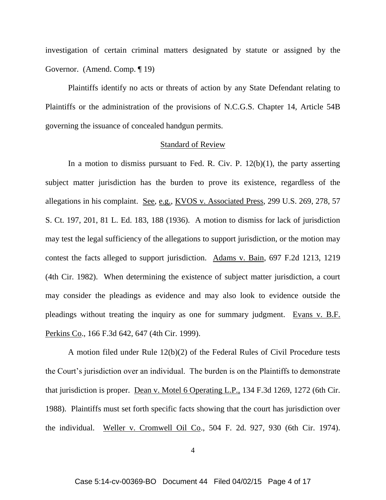investigation of certain criminal matters designated by statute or assigned by the Governor. (Amend. Comp. ¶ 19)

Plaintiffs identify no acts or threats of action by any State Defendant relating to Plaintiffs or the administration of the provisions of N.C.G.S. Chapter 14, Article 54B governing the issuance of concealed handgun permits.

### Standard of Review

In a motion to dismiss pursuant to Fed. R. Civ. P.  $12(b)(1)$ , the party asserting subject matter jurisdiction has the burden to prove its existence, regardless of the allegations in his complaint. See, e.g., KVOS v. Associated Press, 299 U.S. 269, 278, 57 S. Ct. 197, 201, 81 L. Ed. 183, 188 (1936). A motion to dismiss for lack of jurisdiction may test the legal sufficiency of the allegations to support jurisdiction, or the motion may contest the facts alleged to support jurisdiction. Adams v. Bain, 697 F.2d 1213, 1219 (4th Cir. 1982). When determining the existence of subject matter jurisdiction, a court may consider the pleadings as evidence and may also look to evidence outside the pleadings without treating the inquiry as one for summary judgment. Evans v. B.F. Perkins Co., 166 F.3d 642, 647 (4th Cir. 1999).

A motion filed under Rule 12(b)(2) of the Federal Rules of Civil Procedure tests the Court's jurisdiction over an individual. The burden is on the Plaintiffs to demonstrate that jurisdiction is proper. Dean v. Motel 6 Operating L.P., 134 F.3d 1269, 1272 (6th Cir. 1988). Plaintiffs must set forth specific facts showing that the court has jurisdiction over the individual. Weller v. Cromwell Oil Co., 504 F. 2d. 927, 930 (6th Cir. 1974).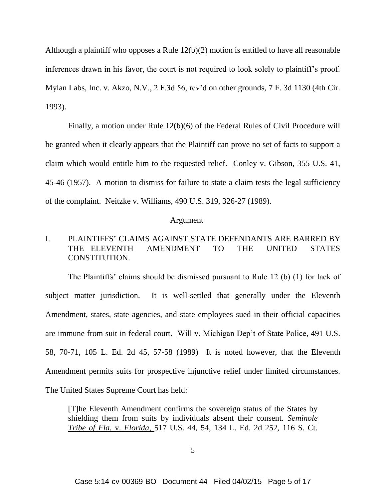Although a plaintiff who opposes a Rule 12(b)(2) motion is entitled to have all reasonable inferences drawn in his favor, the court is not required to look solely to plaintiff's proof. Mylan Labs, Inc. v. Akzo, N.V., 2 F.3d 56, rev'd on other grounds, 7 F. 3d 1130 (4th Cir. 1993).

Finally, a motion under Rule 12(b)(6) of the Federal Rules of Civil Procedure will be granted when it clearly appears that the Plaintiff can prove no set of facts to support a claim which would entitle him to the requested relief. Conley v. Gibson, 355 U.S. 41, 45-46 (1957). A motion to dismiss for failure to state a claim tests the legal sufficiency of the complaint. Neitzke v. Williams, 490 U.S. 319, 326-27 (1989).

#### Argument

# I. PLAINTIFFS' CLAIMS AGAINST STATE DEFENDANTS ARE BARRED BY THE ELEVENTH AMENDMENT TO THE UNITED STATES CONSTITUTION.

The Plaintiffs' claims should be dismissed pursuant to Rule 12 (b) (1) for lack of subject matter jurisdiction. It is well-settled that generally under the Eleventh Amendment, states, state agencies, and state employees sued in their official capacities are immune from suit in federal court. Will v. Michigan Dep't of State Police, 491 U.S. 58, 70-71, 105 L. Ed. 2d 45, 57-58 (1989) It is noted however, that the Eleventh Amendment permits suits for prospective injunctive relief under limited circumstances. The United States Supreme Court has held:

[T]he Eleventh Amendment confirms the sovereign status of the States by shielding them from suits by individuals absent their consent. *Seminole Tribe of Fla.* v. *Florida,* 517 U.S. 44, 54, 134 L. Ed. 2d 252, 116 S. Ct.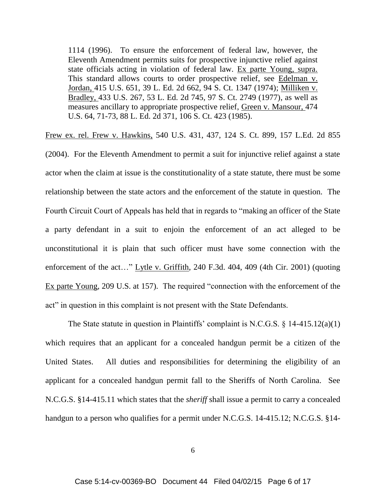1114 (1996). To ensure the enforcement of federal law, however, the Eleventh Amendment permits suits for prospective injunctive relief against state officials acting in violation of federal law. Ex parte Young, supra. This standard allows courts to order prospective relief, see Edelman v. Jordan, 415 U.S. 651, 39 L. Ed. 2d 662, 94 S. Ct. 1347 (1974); Milliken v. Bradley, 433 U.S. 267, 53 L. Ed. 2d 745, 97 S. Ct. 2749 (1977), as well as measures ancillary to appropriate prospective relief, Green v. Mansour, 474 U.S. 64, 71-73, 88 L. Ed. 2d 371, 106 S. Ct. 423 (1985).

Frew ex. rel. Frew v. Hawkins, 540 U.S. 431, 437, 124 S. Ct. 899, 157 L.Ed. 2d 855

(2004). For the Eleventh Amendment to permit a suit for injunctive relief against a state actor when the claim at issue is the constitutionality of a state statute, there must be some relationship between the state actors and the enforcement of the statute in question. The Fourth Circuit Court of Appeals has held that in regards to "making an officer of the State a party defendant in a suit to enjoin the enforcement of an act alleged to be unconstitutional it is plain that such officer must have some connection with the enforcement of the act…" Lytle v. Griffith, 240 F.3d. 404, 409 (4th Cir. 2001) (quoting Ex parte Young, 209 U.S. at 157). The required "connection with the enforcement of the act" in question in this complaint is not present with the State Defendants.

The State statute in question in Plaintiffs' complaint is N.C.G.S. § 14-415.12(a)(1) which requires that an applicant for a concealed handgun permit be a citizen of the United States. All duties and responsibilities for determining the eligibility of an applicant for a concealed handgun permit fall to the Sheriffs of North Carolina. See N.C.G.S. §14-415.11 which states that the *sheriff* shall issue a permit to carry a concealed handgun to a person who qualifies for a permit under N.C.G.S. 14-415.12; N.C.G.S. §14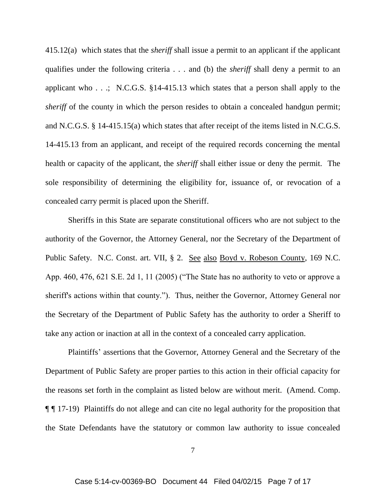415.12(a) which states that the *sheriff* shall issue a permit to an applicant if the applicant qualifies under the following criteria . . . and (b) the *sheriff* shall deny a permit to an applicant who . . .; N.C.G.S. §14-415.13 which states that a person shall apply to the *sheriff* of the county in which the person resides to obtain a concealed handgun permit; and N.C.G.S. § 14-415.15(a) which states that after receipt of the items listed in N.C.G.S. 14-415.13 from an applicant, and receipt of the required records concerning the mental health or capacity of the applicant, the *sheriff* shall either issue or deny the permit. The sole responsibility of determining the eligibility for, issuance of, or revocation of a concealed carry permit is placed upon the Sheriff.

Sheriffs in this State are separate constitutional officers who are not subject to the authority of the Governor, the Attorney General, nor the Secretary of the Department of Public Safety. N.C. Const. art. VII, § 2. See also Boyd v. Robeson County, 169 N.C. App. 460, 476, 621 S.E. 2d 1, 11 (2005) ("The State has no authority to veto or approve a sheriff's actions within that county."). Thus, neither the Governor, Attorney General nor the Secretary of the Department of Public Safety has the authority to order a Sheriff to take any action or inaction at all in the context of a concealed carry application.

Plaintiffs' assertions that the Governor, Attorney General and the Secretary of the Department of Public Safety are proper parties to this action in their official capacity for the reasons set forth in the complaint as listed below are without merit. (Amend. Comp. ¶ ¶ 17-19) Plaintiffs do not allege and can cite no legal authority for the proposition that the State Defendants have the statutory or common law authority to issue concealed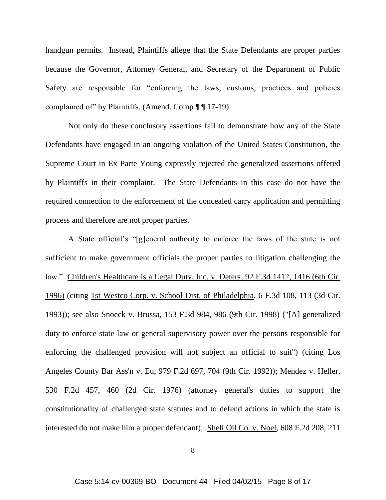handgun permits. Instead, Plaintiffs allege that the State Defendants are proper parties because the Governor, Attorney General, and Secretary of the Department of Public Safety are responsible for "enforcing the laws, customs, practices and policies complained of" by Plaintiffs. (Amend. Comp  $\P$   $\P$  17-19)

Not only do these conclusory assertions fail to demonstrate how any of the State Defendants have engaged in an ongoing violation of the United States Constitution, the Supreme Court in Ex Parte Young expressly rejected the generalized assertions offered by Plaintiffs in their complaint. The State Defendants in this case do not have the required connection to the enforcement of the concealed carry application and permitting process and therefore are not proper parties.

 A State official's "[g]eneral authority to enforce the laws of the state is not sufficient to make government officials the proper parties to litigation challenging the law." Children's Healthcare is a Legal Duty, Inc. v. Deters, 92 F.3d 1412, 1416 (6th Cir. 1996) (citing 1st Westco Corp. v. School Dist. of Philadelphia, 6 F.3d 108, 113 (3d Cir. 1993)); see also Snoeck v. Brussa, 153 F.3d 984, 986 (9th Cir. 1998) ("[A] generalized duty to enforce state law or general supervisory power over the persons responsible for enforcing the challenged provision will not subject an official to suit") (citing Los Angeles County Bar Ass'n v. Eu, 979 F.2d 697, 704 (9th Cir. 1992)); Mendez v. Heller, 530 F.2d 457, 460 (2d Cir. 1976) (attorney general's duties to support the constitutionality of challenged state statutes and to defend actions in which the state is interested do not make him a proper defendant); Shell Oil Co. v. Noel, 608 F.2d 208, 211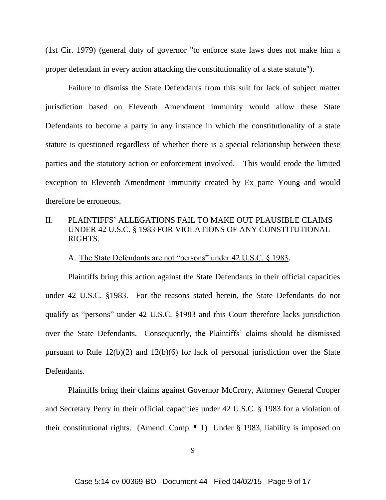(1st Cir. 1979) (general duty of governor "to enforce state laws does not make him a proper defendant in every action attacking the constitutionality of a state statute").

Failure to dismiss the State Defendants from this suit for lack of subject matter jurisdiction based on Eleventh Amendment immunity would allow these State Defendants to become a party in any instance in which the constitutionality of a state statute is questioned regardless of whether there is a special relationship between these parties and the statutory action or enforcement involved. This would erode the limited exception to Eleventh Amendment immunity created by Ex parte Young and would therefore be erroneous.

# II. PLAINTIFFS' ALLEGATIONS FAIL TO MAKE OUT PLAUSIBLE CLAIMS UNDER 42 U.S.C. § 1983 FOR VIOLATIONS OF ANY CONSTITUTIONAL RIGHTS.

A. The State Defendants are not "persons" under 42 U.S.C. § 1983.

Plaintiffs bring this action against the State Defendants in their official capacities under 42 U.S.C. §1983. For the reasons stated herein, the State Defendants do not qualify as "persons" under 42 U.S.C. §1983 and this Court therefore lacks jurisdiction over the State Defendants. Consequently, the Plaintiffs' claims should be dismissed pursuant to Rule 12(b)(2) and 12(b)(6) for lack of personal jurisdiction over the State Defendants.

Plaintiffs bring their claims against Governor McCrory, Attorney General Cooper and Secretary Perry in their official capacities under 42 U.S.C. § 1983 for a violation of their constitutional rights. (Amend. Comp. ¶ 1) Under § 1983, liability is imposed on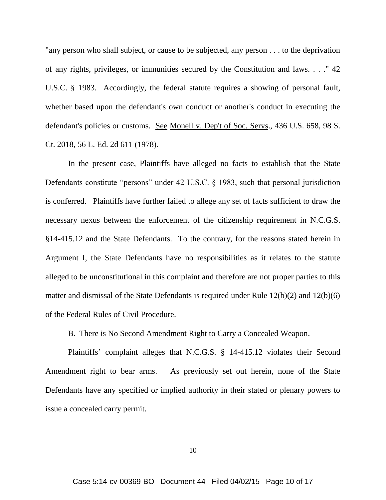"any person who shall subject, or cause to be subjected, any person . . . to the deprivation of any rights, privileges, or immunities secured by the Constitution and laws. . . ." 42 U.S.C. § 1983. Accordingly, the federal statute requires a showing of personal fault, whether based upon the defendant's own conduct or another's conduct in executing the defendant's policies or customs. See Monell v. Dep't of Soc. Servs., 436 U.S. 658, 98 S. Ct. 2018, 56 L. Ed. 2d 611 (1978).

In the present case, Plaintiffs have alleged no facts to establish that the State Defendants constitute "persons" under 42 U.S.C. § 1983, such that personal jurisdiction is conferred. Plaintiffs have further failed to allege any set of facts sufficient to draw the necessary nexus between the enforcement of the citizenship requirement in N.C.G.S. §14-415.12 and the State Defendants. To the contrary, for the reasons stated herein in Argument I, the State Defendants have no responsibilities as it relates to the statute alleged to be unconstitutional in this complaint and therefore are not proper parties to this matter and dismissal of the State Defendants is required under Rule 12(b)(2) and 12(b)(6) of the Federal Rules of Civil Procedure.

### B. There is No Second Amendment Right to Carry a Concealed Weapon.

Plaintiffs' complaint alleges that N.C.G.S. § 14-415.12 violates their Second Amendment right to bear arms. As previously set out herein, none of the State Defendants have any specified or implied authority in their stated or plenary powers to issue a concealed carry permit.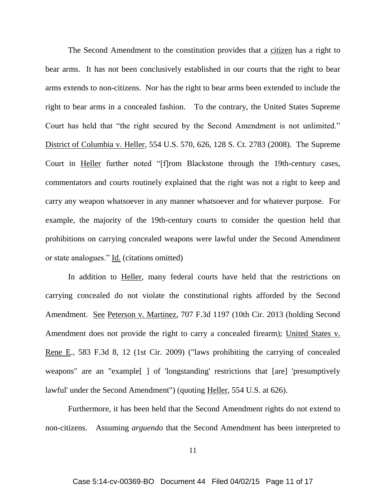The Second Amendment to the constitution provides that a citizen has a right to bear arms. It has not been conclusively established in our courts that the right to bear arms extends to non-citizens. Nor has the right to bear arms been extended to include the right to bear arms in a concealed fashion. To the contrary, the United States Supreme Court has held that "the right secured by the Second Amendment is not unlimited." District of Columbia v. Heller, 554 U.S. 570, 626, 128 S. Ct. 2783 (2008). The Supreme Court in Heller further noted "[f]rom Blackstone through the 19th-century cases, commentators and courts routinely explained that the right was not a right to keep and carry any weapon whatsoever in any manner whatsoever and for whatever purpose. For example, the majority of the 19th-century courts to consider the question held that prohibitions on carrying concealed weapons were lawful under the Second Amendment or state analogues." Id. (citations omitted)

In addition to Heller, many federal courts have held that the restrictions on carrying concealed do not violate the constitutional rights afforded by the Second Amendment. See Peterson v. Martinez, 707 F.3d 1197 (10th Cir. 2013 (holding Second Amendment does not provide the right to carry a concealed firearm); United States v. Rene E., 583 F.3d 8, 12 (1st Cir. 2009) ("laws prohibiting the carrying of concealed weapons" are an "example[ ] of 'longstanding' restrictions that [are] 'presumptively lawful' under the Second Amendment") (quoting Heller, 554 U.S. at 626).

Furthermore, it has been held that the Second Amendment rights do not extend to non-citizens. Assuming *arguendo* that the Second Amendment has been interpreted to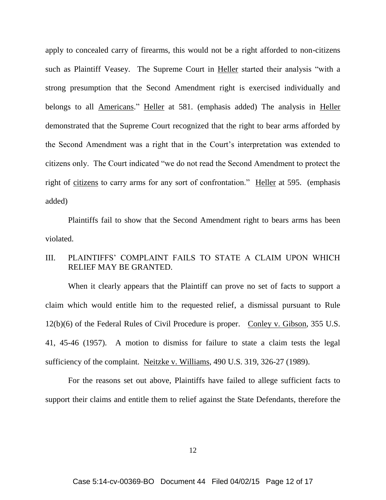apply to concealed carry of firearms, this would not be a right afforded to non-citizens such as Plaintiff Veasey. The Supreme Court in Heller started their analysis "with a strong presumption that the Second Amendment right is exercised individually and belongs to all **Americans.**" Heller at 581. (emphasis added) The analysis in Heller demonstrated that the Supreme Court recognized that the right to bear arms afforded by the Second Amendment was a right that in the Court's interpretation was extended to citizens only. The Court indicated "we do not read the Second Amendment to protect the right of citizens to carry arms for any sort of confrontation." Heller at 595. (emphasis added)

Plaintiffs fail to show that the Second Amendment right to bears arms has been violated.

# III. PLAINTIFFS' COMPLAINT FAILS TO STATE A CLAIM UPON WHICH RELIEF MAY BE GRANTED.

When it clearly appears that the Plaintiff can prove no set of facts to support a claim which would entitle him to the requested relief, a dismissal pursuant to Rule 12(b)(6) of the Federal Rules of Civil Procedure is proper. Conley v. Gibson, 355 U.S. 41, 45-46 (1957). A motion to dismiss for failure to state a claim tests the legal sufficiency of the complaint. Neitzke v. Williams, 490 U.S. 319, 326-27 (1989).

For the reasons set out above, Plaintiffs have failed to allege sufficient facts to support their claims and entitle them to relief against the State Defendants, therefore the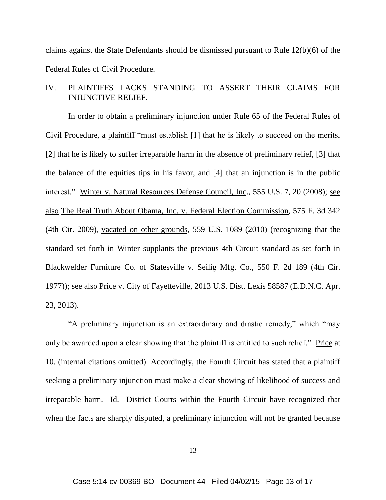claims against the State Defendants should be dismissed pursuant to Rule 12(b)(6) of the Federal Rules of Civil Procedure.

# IV. PLAINTIFFS LACKS STANDING TO ASSERT THEIR CLAIMS FOR INJUNCTIVE RELIEF.

In order to obtain a preliminary injunction under Rule 65 of the Federal Rules of Civil Procedure, a plaintiff "must establish [1] that he is likely to succeed on the merits, [2] that he is likely to suffer irreparable harm in the absence of preliminary relief, [3] that the balance of the equities tips in his favor, and [4] that an injunction is in the public interest." Winter v. Natural Resources Defense Council, Inc., 555 U.S. 7, 20 (2008); see also The Real Truth About Obama, Inc. v. Federal Election Commission, 575 F. 3d 342 (4th Cir. 2009), vacated on other grounds, 559 U.S. 1089 (2010) (recognizing that the standard set forth in Winter supplants the previous 4th Circuit standard as set forth in Blackwelder Furniture Co. of Statesville v. Seilig Mfg. Co., 550 F. 2d 189 (4th Cir. 1977)); see also Price v. City of Fayetteville, 2013 U.S. Dist. Lexis 58587 (E.D.N.C. Apr. 23, 2013).

"A preliminary injunction is an extraordinary and drastic remedy," which "may only be awarded upon a clear showing that the plaintiff is entitled to such relief." Price at 10. (internal citations omitted) Accordingly, the Fourth Circuit has stated that a plaintiff seeking a preliminary injunction must make a clear showing of likelihood of success and irreparable harm. Id. District Courts within the Fourth Circuit have recognized that when the facts are sharply disputed, a preliminary injunction will not be granted because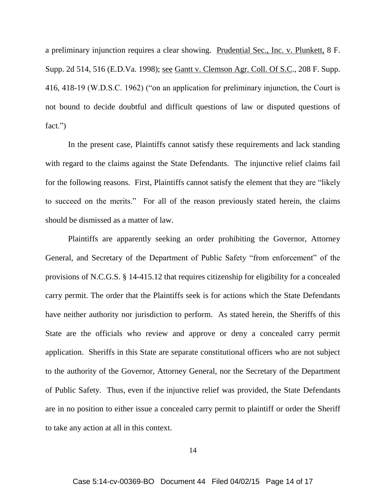a preliminary injunction requires a clear showing. Prudential Sec., Inc. v. Plunkett, 8 F. Supp. 2d 514, 516 (E.D.Va. 1998); see Gantt v. Clemson Agr. Coll. Of S.C., 208 F. Supp. 416, 418-19 (W.D.S.C. 1962) ("on an application for preliminary injunction, the Court is not bound to decide doubtful and difficult questions of law or disputed questions of fact.")

In the present case, Plaintiffs cannot satisfy these requirements and lack standing with regard to the claims against the State Defendants. The injunctive relief claims fail for the following reasons. First, Plaintiffs cannot satisfy the element that they are "likely to succeed on the merits." For all of the reason previously stated herein, the claims should be dismissed as a matter of law.

Plaintiffs are apparently seeking an order prohibiting the Governor, Attorney General, and Secretary of the Department of Public Safety "from enforcement" of the provisions of N.C.G.S. § 14-415.12 that requires citizenship for eligibility for a concealed carry permit. The order that the Plaintiffs seek is for actions which the State Defendants have neither authority nor jurisdiction to perform. As stated herein, the Sheriffs of this State are the officials who review and approve or deny a concealed carry permit application. Sheriffs in this State are separate constitutional officers who are not subject to the authority of the Governor, Attorney General, nor the Secretary of the Department of Public Safety. Thus, even if the injunctive relief was provided, the State Defendants are in no position to either issue a concealed carry permit to plaintiff or order the Sheriff to take any action at all in this context.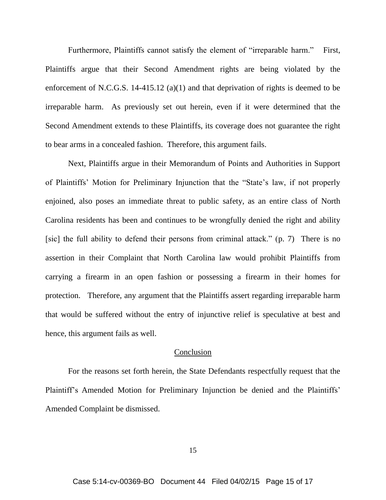Furthermore, Plaintiffs cannot satisfy the element of "irreparable harm." First, Plaintiffs argue that their Second Amendment rights are being violated by the enforcement of N.C.G.S. 14-415.12 (a)(1) and that deprivation of rights is deemed to be irreparable harm. As previously set out herein, even if it were determined that the Second Amendment extends to these Plaintiffs, its coverage does not guarantee the right to bear arms in a concealed fashion. Therefore, this argument fails.

Next, Plaintiffs argue in their Memorandum of Points and Authorities in Support of Plaintiffs' Motion for Preliminary Injunction that the "State's law, if not properly enjoined, also poses an immediate threat to public safety, as an entire class of North Carolina residents has been and continues to be wrongfully denied the right and ability [sic] the full ability to defend their persons from criminal attack." (p. 7) There is no assertion in their Complaint that North Carolina law would prohibit Plaintiffs from carrying a firearm in an open fashion or possessing a firearm in their homes for protection. Therefore, any argument that the Plaintiffs assert regarding irreparable harm that would be suffered without the entry of injunctive relief is speculative at best and hence, this argument fails as well.

## Conclusion

For the reasons set forth herein, the State Defendants respectfully request that the Plaintiff's Amended Motion for Preliminary Injunction be denied and the Plaintiffs' Amended Complaint be dismissed.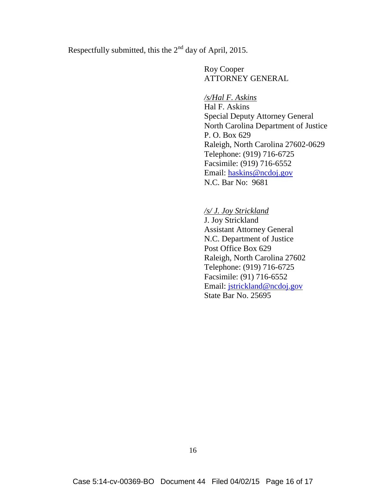Respectfully submitted, this the 2<sup>nd</sup> day of April, 2015.

Roy Cooper ATTORNEY GENERAL

*/s/Hal F. Askins* Hal F. Askins Special Deputy Attorney General North Carolina Department of Justice P. O. Box 629 Raleigh, North Carolina 27602-0629 Telephone: (919) 716-6725 Facsimile: (919) 716-6552 Email: haskins@ncdoj.gov N.C. Bar No: 9681

*/s/ J. Joy Strickland* J. Joy Strickland Assistant Attorney General N.C. Department of Justice Post Office Box 629 Raleigh, North Carolina 27602 Telephone: (919) 716-6725 Facsimile: (91) 716-6552 Email: jstrickland@ncdoj.gov State Bar No. 25695